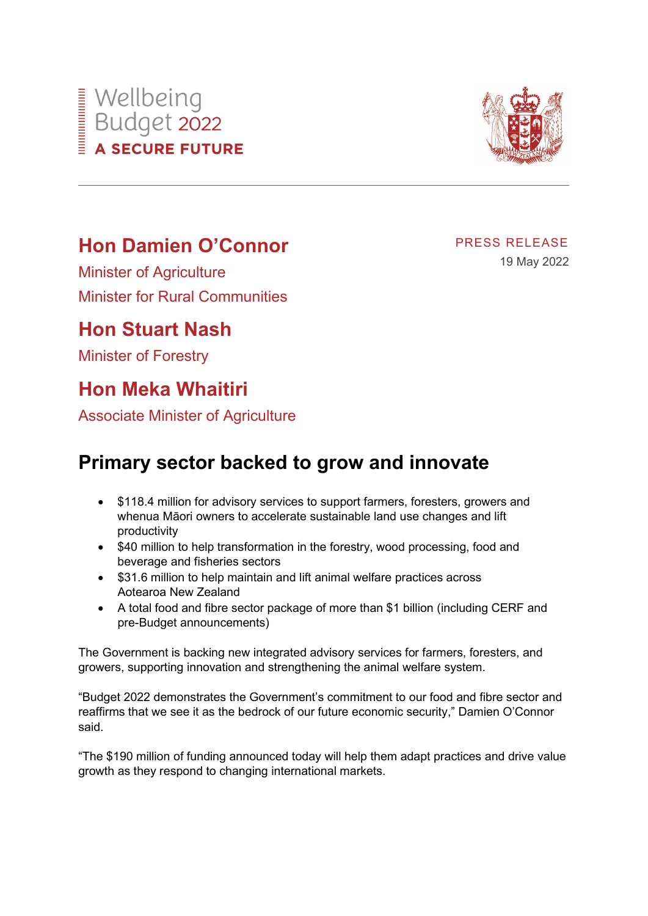# **Hon Damien O'Connor**

Minister of Agriculture Minister for Rural Communities

## **Hon Stuart Nash**

Wellbeing<br>Budget 2022<br>A SECURE FUTU

**A SECURE FUTURE** 

Minister of Forestry

# **Hon Meka Whaitiri**

Associate Minister of Agriculture

## **Primary sector backed to grow and innovate**

- \$118.4 million for advisory services to support farmers, foresters, growers and whenua Māori owners to accelerate sustainable land use changes and lift productivity
- \$40 million to help transformation in the forestry, wood processing, food and beverage and fisheries sectors
- \$31.6 million to help maintain and lift animal welfare practices across Aotearoa New Zealand
- A total food and fibre sector package of more than \$1 billion (including CERF and pre-Budget announcements)

The Government is backing new integrated advisory services for farmers, foresters, and growers, supporting innovation and strengthening the animal welfare system.

"Budget 2022 demonstrates the Government's commitment to our food and fibre sector and reaffirms that we see it as the bedrock of our future economic security," Damien O'Connor said.

"The \$190 million of funding announced today will help them adapt practices and drive value growth as they respond to changing international markets.



PRESS RELEASE

19 May 2022